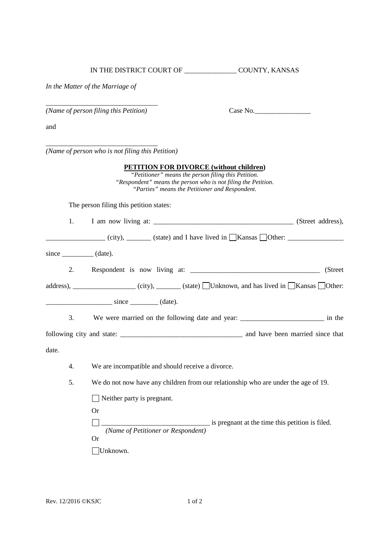IN THE DISTRICT COURT OF \_\_\_\_\_\_\_\_\_\_\_\_\_\_\_ COUNTY, KANSAS

*In the Matter of the Marriage of*

\_\_\_\_\_\_\_\_\_\_\_\_\_\_\_\_\_\_\_\_\_\_\_\_\_\_\_\_\_\_\_\_ *(Name of person filing this Petition)* Case No.\_\_\_\_\_\_\_\_\_\_\_\_\_\_\_\_

\_\_\_\_\_\_\_\_\_\_\_\_\_\_\_\_\_\_\_\_\_\_\_\_\_\_\_\_\_\_\_\_

and

*(Name of person who is not filing this Petition)*

|       |    | <b>PETITION FOR DIVORCE (without children)</b><br>"Petitioner" means the person filing this Petition.<br>"Respondent" means the person who is not filing the Petition.<br>"Parties" means the Petitioner and Respondent. |
|-------|----|--------------------------------------------------------------------------------------------------------------------------------------------------------------------------------------------------------------------------|
|       |    | The person filing this petition states:                                                                                                                                                                                  |
|       | 1. |                                                                                                                                                                                                                          |
|       |    |                                                                                                                                                                                                                          |
|       |    | $since \_\_\_ (date).$                                                                                                                                                                                                   |
|       | 2. | (Street)                                                                                                                                                                                                                 |
|       |    | address), _________________ (city), _______ (state) $\Box$ Unknown, and has lived in $\Box$ Kansas $\Box$ Other:                                                                                                         |
|       |    | $\frac{\text{since}}{\text{since}}$ (date).                                                                                                                                                                              |
|       | 3. | We were married on the following date and year: _________________________________ in the                                                                                                                                 |
|       |    |                                                                                                                                                                                                                          |
| date. |    |                                                                                                                                                                                                                          |
|       | 4. | We are incompatible and should receive a divorce.                                                                                                                                                                        |
|       | 5. | We do not now have any children from our relationship who are under the age of 19.                                                                                                                                       |
|       |    | Neither party is pregnant.                                                                                                                                                                                               |
|       |    | <b>Or</b>                                                                                                                                                                                                                |
|       |    | is pregnant at the time this petition is filed.                                                                                                                                                                          |
|       |    | (Name of Petitioner or Respondent)                                                                                                                                                                                       |
|       |    | <b>Or</b>                                                                                                                                                                                                                |
|       |    | Unknown.                                                                                                                                                                                                                 |